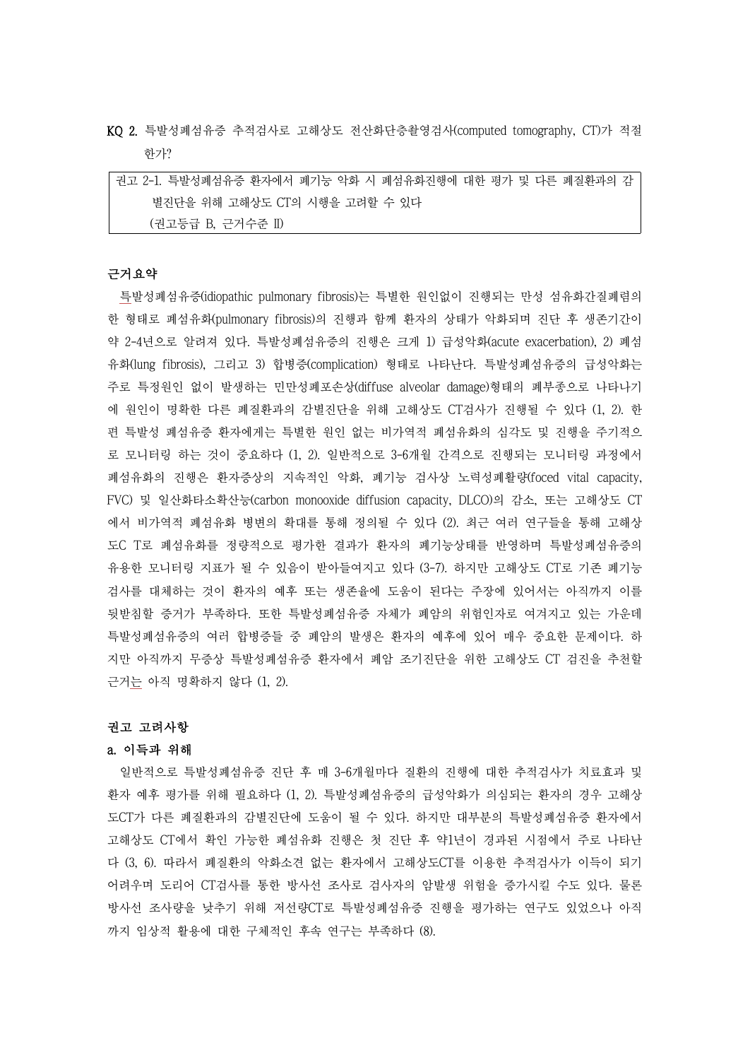KQ 2. 특발성폐섬유증 추적검사로 고해상도 전산화단층촬영검사(computed tomography, CT)가 적절 한가?

| 권고 2-1. 특발성폐섬유증 환자에서 폐기능 악화 시 폐섬유화진행에 대한 평가 및 다른 폐질환과의 감 |
|----------------------------------------------------------|
| 별진단을 위해 고해상도 CT의 시행을 고려할 수 있다                            |
| (권고등급 B. 근거수준 II)                                        |

# 근거요약

특발성폐섬유증(idiopathic pulmonary fibrosis)는 특별한 원인없이 진행되는 만성 섬유화간질폐렴의 한 형태로 폐섬유화(pulmonary fibrosis)의 진행과 함께 환자의 상태가 악화되며 진단 후 생존기간이 약 2-4년으로 알려져 있다. 특발성폐섬유증의 진행은 크게 1) 급성악화(acute exacerbation), 2) 폐섬 유화(lung fibrosis), 그리고 3) 합병증(complication) 형태로 나타난다. 특발성폐섬유증의 급성악화는 주로 특정원인 없이 발생하는 민만성폐포손상(diffuse alveolar damage)형태의 폐부종으로 나타나기 에 원인이 명확한 다른 폐질환과의 감별진단을 위해 고해상도 CT검사가 진행될 수 있다 (1, 2). 한 편 특발성 폐섬유증 환자에게는 특별한 원인 없는 비가역적 폐섬유화의 심각도 및 진행을 주기적으 로 모니터링 하는 것이 중요하다 (1, 2). 일반적으로 3-6개월 간격으로 진행되는 모니터링 과정에서 폐섬유화의 진행은 환자증상의 지속적인 악화, 폐기능 검사상 노력성폐활량(foced vital capacity, FVC) 및 일산화타소확산능(carbon monooxide diffusion capacity, DLCO)의 감소, 또는 고해상도 CT 에서 비가역적 폐섬유화 병변의 확대를 통해 정의될 수 있다 (2). 최근 여러 연구들을 통해 고해상 도C T로 폐섬유화를 정량적으로 평가한 결과가 환자의 폐기능상태를 반영하며 특발성폐섬유증의 유용한 모니터링 지표가 될 수 있음이 받아들여지고 있다 (3-7). 하지만 고해상도 CT로 기존 폐기능 검사를 대체하는 것이 환자의 예후 또는 생존율에 도움이 된다는 주장에 있어서는 아직까지 이를 뒷받침할 증거가 부족하다. 또한 특발성폐섬유증 자체가 폐암의 위험인자로 여겨지고 있는 가운데 특발성폐섬유증의 여러 합병증들 중 폐암의 발생은 환자의 예후에 있어 매우 중요한 문제이다. 하 지만 아직까지 무증상 특발성폐섬유증 환자에서 폐암 조기진단을 위한 고해상도 CT 검진을 추천할 근거는 아직 명확하지 않다 (1, 2).

#### 권고 고려사항

#### a. 이득과 위해

일반적으로 특발성폐섬유증 진단 후 매 3-6개월마다 질환의 진행에 대한 추적검사가 치료효과 및 환자 예후 평가를 위해 필요하다 (1, 2). 특발성폐섬유증의 급성악화가 의심되는 환자의 경우 고해상 도CT가 다른 폐질환과의 감별진단에 도움이 될 수 있다. 하지만 대부분의 특발성폐섬유증 환자에서 고해상도 CT에서 확인 가능한 폐섬유화 진행은 첫 진단 후 약1년이 경과된 시점에서 주로 나타난 다 (3, 6). 따라서 폐질환의 악화소견 없는 환자에서 고해상도CT를 이용한 추적검사가 이득이 되기 어려우며 도리어 CT검사를 통한 방사선 조사로 검사자의 암발생 위험을 증가시킬 수도 있다. 물론 방사선 조사량을 낮추기 위해 저선량CT로 특발성폐섬유증 진행을 평가하는 연구도 있었으나 아직 까지 임상적 활용에 대한 구체적인 후속 연구는 부족하다 (8).